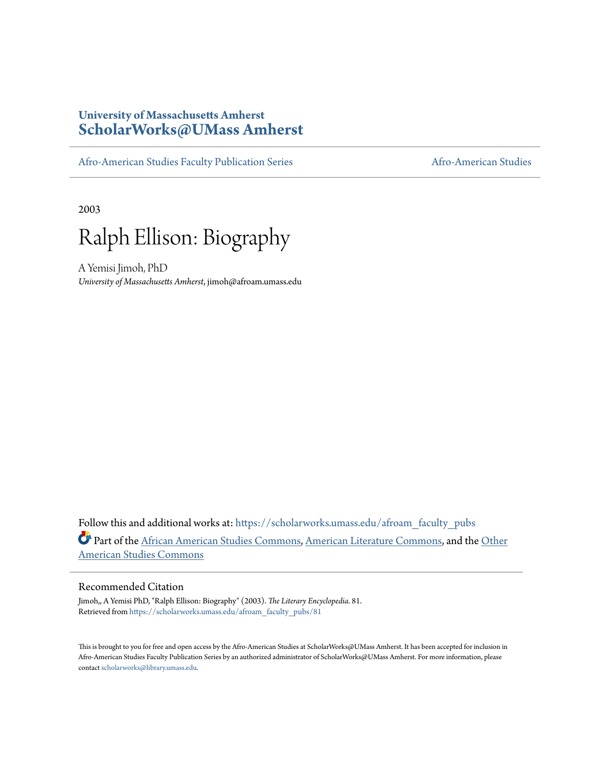## **University of Massachusetts Amherst [ScholarWorks@UMass Amherst](https://scholarworks.umass.edu?utm_source=scholarworks.umass.edu%2Fafroam_faculty_pubs%2F81&utm_medium=PDF&utm_campaign=PDFCoverPages)**

[Afro-American Studies Faculty Publication Series](https://scholarworks.umass.edu/afroam_faculty_pubs?utm_source=scholarworks.umass.edu%2Fafroam_faculty_pubs%2F81&utm_medium=PDF&utm_campaign=PDFCoverPages) [Afro-American Studies](https://scholarworks.umass.edu/afroam?utm_source=scholarworks.umass.edu%2Fafroam_faculty_pubs%2F81&utm_medium=PDF&utm_campaign=PDFCoverPages)

2003



A Yemisi Jimoh, PhD *University of Massachusetts Amherst*, jimoh@afroam.umass.edu

Follow this and additional works at: [https://scholarworks.umass.edu/afroam\\_faculty\\_pubs](https://scholarworks.umass.edu/afroam_faculty_pubs?utm_source=scholarworks.umass.edu%2Fafroam_faculty_pubs%2F81&utm_medium=PDF&utm_campaign=PDFCoverPages) Part of the [African American Studies Commons,](http://network.bepress.com/hgg/discipline/567?utm_source=scholarworks.umass.edu%2Fafroam_faculty_pubs%2F81&utm_medium=PDF&utm_campaign=PDFCoverPages) [American Literature Commons](http://network.bepress.com/hgg/discipline/441?utm_source=scholarworks.umass.edu%2Fafroam_faculty_pubs%2F81&utm_medium=PDF&utm_campaign=PDFCoverPages), and the [Other](http://network.bepress.com/hgg/discipline/445?utm_source=scholarworks.umass.edu%2Fafroam_faculty_pubs%2F81&utm_medium=PDF&utm_campaign=PDFCoverPages) [American Studies Commons](http://network.bepress.com/hgg/discipline/445?utm_source=scholarworks.umass.edu%2Fafroam_faculty_pubs%2F81&utm_medium=PDF&utm_campaign=PDFCoverPages)

## Recommended Citation

Jimoh,, A Yemisi PhD, "Ralph Ellison: Biography" (2003). *The Literary Encyclopedia*. 81. Retrieved from [https://scholarworks.umass.edu/afroam\\_faculty\\_pubs/81](https://scholarworks.umass.edu/afroam_faculty_pubs/81?utm_source=scholarworks.umass.edu%2Fafroam_faculty_pubs%2F81&utm_medium=PDF&utm_campaign=PDFCoverPages)

This is brought to you for free and open access by the Afro-American Studies at ScholarWorks@UMass Amherst. It has been accepted for inclusion in Afro-American Studies Faculty Publication Series by an authorized administrator of ScholarWorks@UMass Amherst. For more information, please contact [scholarworks@library.umass.edu](mailto:scholarworks@library.umass.edu).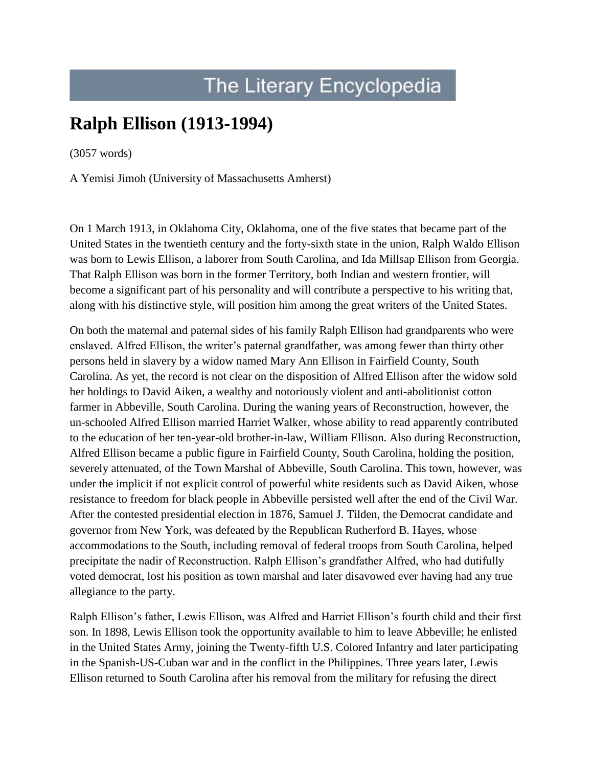## The Literary Encyclopedia

## **Ralph Ellison (1913-1994)**

(3057 words)

[A Yemisi Jimoh \(University of Massachusetts Amherst\)](http://www.litencyc.com/php/members/showprofile.php?contribid=15895)

On 1 March 1913, in Oklahoma City, Oklahoma, one of the five states that became part of the United States in the twentieth century and the forty-sixth state in the union, Ralph Waldo Ellison was born to Lewis Ellison, a laborer from South Carolina, and Ida Millsap Ellison from Georgia. That Ralph Ellison was born in the former Territory, both Indian and western frontier, will become a significant part of his personality and will contribute a perspective to his writing that, along with his distinctive style, will position him among the great writers of the United States.

On both the maternal and paternal sides of his family Ralph Ellison had grandparents who were enslaved. Alfred Ellison, the writer's paternal grandfather, was among fewer than thirty other persons held in slavery by a widow named Mary Ann Ellison in Fairfield County, South Carolina. As yet, the record is not clear on the disposition of Alfred Ellison after the widow sold her holdings to David Aiken, a wealthy and notoriously violent and anti-abolitionist cotton farmer in Abbeville, South Carolina. During the waning years of Reconstruction, however, the un-schooled Alfred Ellison married Harriet Walker, whose ability to read apparently contributed to the education of her ten-year-old brother-in-law, William Ellison. Also during Reconstruction, Alfred Ellison became a public figure in Fairfield County, South Carolina, holding the position, severely attenuated, of the Town Marshal of Abbeville, South Carolina. This town, however, was under the implicit if not explicit control of powerful white residents such as David Aiken, whose resistance to freedom for black people in Abbeville persisted well after the end of the Civil War. After the contested presidential election in 1876, Samuel J. Tilden, the Democrat candidate and governor from New York, was defeated by the Republican Rutherford B. Hayes, whose accommodations to the South, including removal of federal troops from South Carolina, helped precipitate the nadir of Reconstruction. Ralph Ellison's grandfather Alfred, who had dutifully voted democrat, lost his position as town marshal and later disavowed ever having had any true allegiance to the party.

Ralph Ellison's father, Lewis Ellison, was Alfred and Harriet Ellison's fourth child and their first son. In 1898, Lewis Ellison took the opportunity available to him to leave Abbeville; he enlisted in the United States Army, joining the Twenty-fifth U.S. Colored Infantry and later participating in the Spanish-US-Cuban war and in the conflict in the Philippines. Three years later, Lewis Ellison returned to South Carolina after his removal from the military for refusing the direct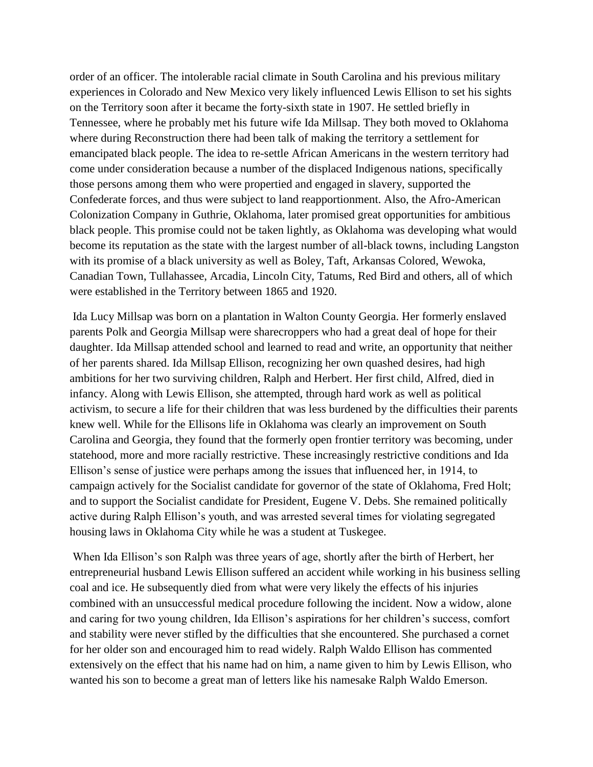order of an officer. The intolerable racial climate in South Carolina and his previous military experiences in Colorado and New Mexico very likely influenced Lewis Ellison to set his sights on the Territory soon after it became the forty-sixth state in 1907. He settled briefly in Tennessee, where he probably met his future wife Ida Millsap. They both moved to Oklahoma where during Reconstruction there had been talk of making the territory a settlement for emancipated black people. The idea to re-settle African Americans in the western territory had come under consideration because a number of the displaced Indigenous nations, specifically those persons among them who were propertied and engaged in slavery, supported the Confederate forces, and thus were subject to land reapportionment. Also, the Afro-American Colonization Company in Guthrie, Oklahoma, later promised great opportunities for ambitious black people. This promise could not be taken lightly, as Oklahoma was developing what would become its reputation as the state with the largest number of all-black towns, including Langston with its promise of a black university as well as Boley, Taft, Arkansas Colored, Wewoka, Canadian Town, Tullahassee, Arcadia, Lincoln City, Tatums, Red Bird and others, all of which were established in the Territory between 1865 and 1920.

Ida Lucy Millsap was born on a plantation in Walton County Georgia. Her formerly enslaved parents Polk and Georgia Millsap were sharecroppers who had a great deal of hope for their daughter. Ida Millsap attended school and learned to read and write, an opportunity that neither of her parents shared. Ida Millsap Ellison, recognizing her own quashed desires, had high ambitions for her two surviving children, Ralph and Herbert. Her first child, Alfred, died in infancy. Along with Lewis Ellison, she attempted, through hard work as well as political activism, to secure a life for their children that was less burdened by the difficulties their parents knew well. While for the Ellisons life in Oklahoma was clearly an improvement on South Carolina and Georgia, they found that the formerly open frontier territory was becoming, under statehood, more and more racially restrictive. These increasingly restrictive conditions and Ida Ellison's sense of justice were perhaps among the issues that influenced her, in 1914, to campaign actively for the Socialist candidate for governor of the state of Oklahoma, Fred Holt; and to support the Socialist candidate for President, Eugene V. Debs. She remained politically active during Ralph Ellison's youth, and was arrested several times for violating segregated housing laws in Oklahoma City while he was a student at Tuskegee.

When Ida Ellison's son Ralph was three years of age, shortly after the birth of Herbert, her entrepreneurial husband Lewis Ellison suffered an accident while working in his business selling coal and ice. He subsequently died from what were very likely the effects of his injuries combined with an unsuccessful medical procedure following the incident. Now a widow, alone and caring for two young children, Ida Ellison's aspirations for her children's success, comfort and stability were never stifled by the difficulties that she encountered. She purchased a cornet for her older son and encouraged him to read widely. Ralph Waldo Ellison has commented extensively on the effect that his name had on him, a name given to him by Lewis Ellison, who wanted his son to become a great man of letters like his namesake Ralph Waldo Emerson.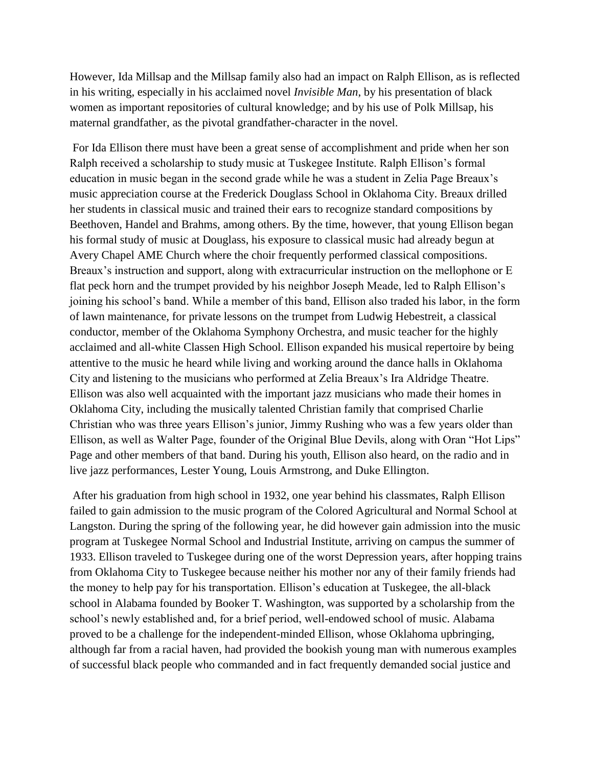However, Ida Millsap and the Millsap family also had an impact on Ralph Ellison, as is reflected in his writing, especially in his acclaimed novel *Invisible Man*, by his presentation of black women as important repositories of cultural knowledge; and by his use of Polk Millsap, his maternal grandfather, as the pivotal grandfather-character in the novel.

For Ida Ellison there must have been a great sense of accomplishment and pride when her son Ralph received a scholarship to study music at Tuskegee Institute. Ralph Ellison's formal education in music began in the second grade while he was a student in Zelia Page Breaux's music appreciation course at the Frederick Douglass School in Oklahoma City. Breaux drilled her students in classical music and trained their ears to recognize standard compositions by Beethoven, Handel and Brahms, among others. By the time, however, that young Ellison began his formal study of music at Douglass, his exposure to classical music had already begun at Avery Chapel AME Church where the choir frequently performed classical compositions. Breaux's instruction and support, along with extracurricular instruction on the mellophone or E flat peck horn and the trumpet provided by his neighbor Joseph Meade, led to Ralph Ellison's joining his school's band. While a member of this band, Ellison also traded his labor, in the form of lawn maintenance, for private lessons on the trumpet from Ludwig Hebestreit, a classical conductor, member of the Oklahoma Symphony Orchestra, and music teacher for the highly acclaimed and all-white Classen High School. Ellison expanded his musical repertoire by being attentive to the music he heard while living and working around the dance halls in Oklahoma City and listening to the musicians who performed at Zelia Breaux's Ira Aldridge Theatre. Ellison was also well acquainted with the important jazz musicians who made their homes in Oklahoma City, including the musically talented Christian family that comprised Charlie Christian who was three years Ellison's junior, Jimmy Rushing who was a few years older than Ellison, as well as Walter Page, founder of the Original Blue Devils, along with Oran "Hot Lips" Page and other members of that band. During his youth, Ellison also heard, on the radio and in live jazz performances, Lester Young, Louis Armstrong, and Duke Ellington.

After his graduation from high school in 1932, one year behind his classmates, Ralph Ellison failed to gain admission to the music program of the Colored Agricultural and Normal School at Langston. During the spring of the following year, he did however gain admission into the music program at Tuskegee Normal School and Industrial Institute, arriving on campus the summer of 1933. Ellison traveled to Tuskegee during one of the worst Depression years, after hopping trains from Oklahoma City to Tuskegee because neither his mother nor any of their family friends had the money to help pay for his transportation. Ellison's education at Tuskegee, the all-black school in Alabama founded by Booker T. Washington, was supported by a scholarship from the school's newly established and, for a brief period, well-endowed school of music. Alabama proved to be a challenge for the independent-minded Ellison, whose Oklahoma upbringing, although far from a racial haven, had provided the bookish young man with numerous examples of successful black people who commanded and in fact frequently demanded social justice and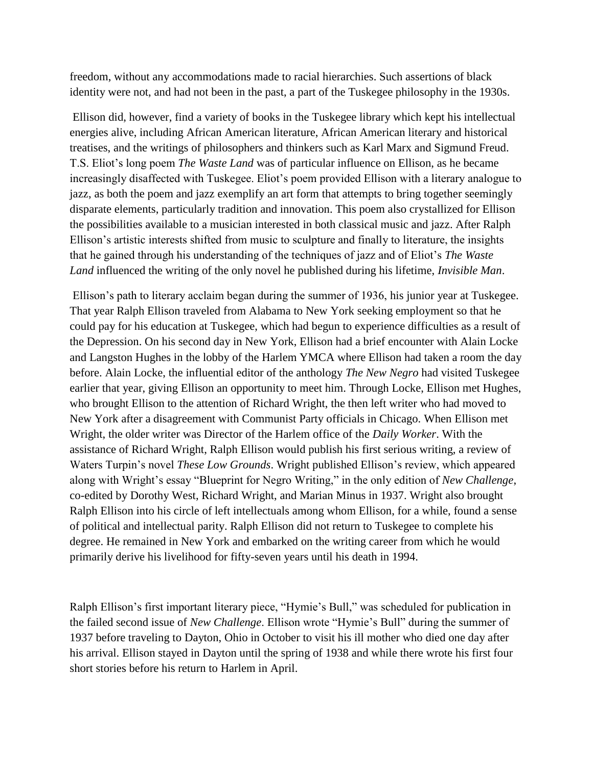freedom, without any accommodations made to racial hierarchies. Such assertions of black identity were not, and had not been in the past, a part of the Tuskegee philosophy in the 1930s.

Ellison did, however, find a variety of books in the Tuskegee library which kept his intellectual energies alive, including African American literature, African American literary and historical treatises, and the writings of philosophers and thinkers such as Karl Marx and Sigmund Freud. T.S. Eliot's long poem *The Waste Land* was of particular influence on Ellison, as he became increasingly disaffected with Tuskegee. Eliot's poem provided Ellison with a literary analogue to jazz, as both the poem and jazz exemplify an art form that attempts to bring together seemingly disparate elements, particularly tradition and innovation. This poem also crystallized for Ellison the possibilities available to a musician interested in both classical music and jazz. After Ralph Ellison's artistic interests shifted from music to sculpture and finally to literature, the insights that he gained through his understanding of the techniques of jazz and of Eliot's *The Waste Land* influenced the writing of the only novel he published during his lifetime, *Invisible Man*.

Ellison's path to literary acclaim began during the summer of 1936, his junior year at Tuskegee. That year Ralph Ellison traveled from Alabama to New York seeking employment so that he could pay for his education at Tuskegee, which had begun to experience difficulties as a result of the Depression. On his second day in New York, Ellison had a brief encounter with Alain Locke and Langston Hughes in the lobby of the Harlem YMCA where Ellison had taken a room the day before. Alain Locke, the influential editor of the anthology *The New Negro* had visited Tuskegee earlier that year, giving Ellison an opportunity to meet him. Through Locke, Ellison met Hughes, who brought Ellison to the attention of Richard Wright, the then left writer who had moved to New York after a disagreement with Communist Party officials in Chicago. When Ellison met Wright, the older writer was Director of the Harlem office of the *Daily Worker*. With the assistance of Richard Wright, Ralph Ellison would publish his first serious writing, a review of Waters Turpin's novel *These Low Grounds*. Wright published Ellison's review, which appeared along with Wright's essay "Blueprint for Negro Writing," in the only edition of *New Challenge*, co-edited by Dorothy West, Richard Wright, and Marian Minus in 1937. Wright also brought Ralph Ellison into his circle of left intellectuals among whom Ellison, for a while, found a sense of political and intellectual parity. Ralph Ellison did not return to Tuskegee to complete his degree. He remained in New York and embarked on the writing career from which he would primarily derive his livelihood for fifty-seven years until his death in 1994.

Ralph Ellison's first important literary piece, "Hymie's Bull," was scheduled for publication in the failed second issue of *New Challenge*. Ellison wrote "Hymie's Bull" during the summer of 1937 before traveling to Dayton, Ohio in October to visit his ill mother who died one day after his arrival. Ellison stayed in Dayton until the spring of 1938 and while there wrote his first four short stories before his return to Harlem in April.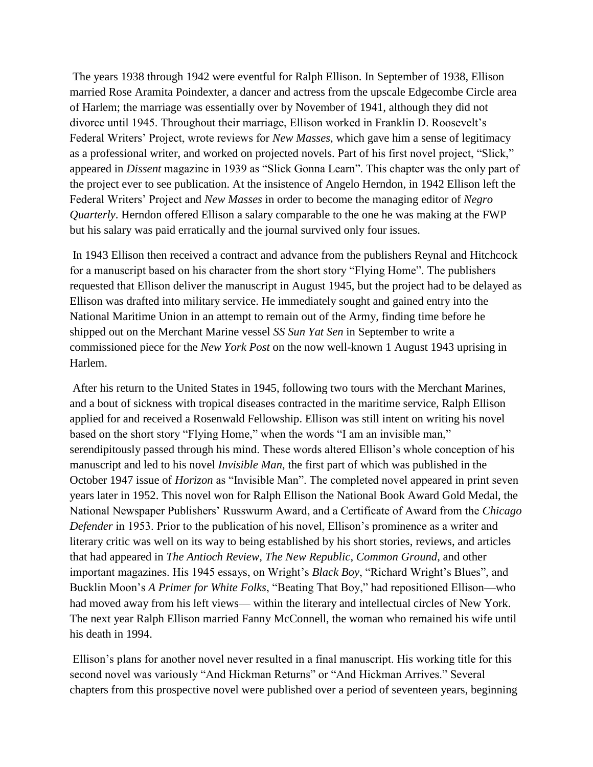The years 1938 through 1942 were eventful for Ralph Ellison. In September of 1938, Ellison married Rose Aramita Poindexter, a dancer and actress from the upscale Edgecombe Circle area of Harlem; the marriage was essentially over by November of 1941, although they did not divorce until 1945. Throughout their marriage, Ellison worked in Franklin D. Roosevelt's Federal Writers' Project, wrote reviews for *New Masses*, which gave him a sense of legitimacy as a professional writer, and worked on projected novels. Part of his first novel project, "Slick," appeared in *Dissent* magazine in 1939 as "Slick Gonna Learn". This chapter was the only part of the project ever to see publication. At the insistence of Angelo Herndon, in 1942 Ellison left the Federal Writers' Project and *New Masses* in order to become the managing editor of *Negro Quarterly*. Herndon offered Ellison a salary comparable to the one he was making at the FWP but his salary was paid erratically and the journal survived only four issues.

In 1943 Ellison then received a contract and advance from the publishers Reynal and Hitchcock for a manuscript based on his character from the short story "Flying Home". The publishers requested that Ellison deliver the manuscript in August 1945, but the project had to be delayed as Ellison was drafted into military service. He immediately sought and gained entry into the National Maritime Union in an attempt to remain out of the Army, finding time before he shipped out on the Merchant Marine vessel *SS Sun Yat Sen* in September to write a commissioned piece for the *New York Post* on the now well-known 1 August 1943 uprising in Harlem.

After his return to the United States in 1945, following two tours with the Merchant Marines, and a bout of sickness with tropical diseases contracted in the maritime service, Ralph Ellison applied for and received a Rosenwald Fellowship. Ellison was still intent on writing his novel based on the short story "Flying Home," when the words "I am an invisible man," serendipitously passed through his mind. These words altered Ellison's whole conception of his manuscript and led to his novel *Invisible Man*, the first part of which was published in the October 1947 issue of *Horizon* as "Invisible Man". The completed novel appeared in print seven years later in 1952. This novel won for Ralph Ellison the National Book Award Gold Medal, the National Newspaper Publishers' Russwurm Award, and a Certificate of Award from the *Chicago Defender* in 1953. Prior to the publication of his novel, Ellison's prominence as a writer and literary critic was well on its way to being established by his short stories, reviews, and articles that had appeared in *The Antioch Review*, *The New Republic*, *Common Ground*, and other important magazines. His 1945 essays, on Wright's *Black Boy*, "Richard Wright's Blues", and Bucklin Moon's *A Primer for White Folks*, "Beating That Boy," had repositioned Ellison—who had moved away from his left views— within the literary and intellectual circles of New York. The next year Ralph Ellison married Fanny McConnell, the woman who remained his wife until his death in 1994.

Ellison's plans for another novel never resulted in a final manuscript. His working title for this second novel was variously "And Hickman Returns" or "And Hickman Arrives." Several chapters from this prospective novel were published over a period of seventeen years, beginning